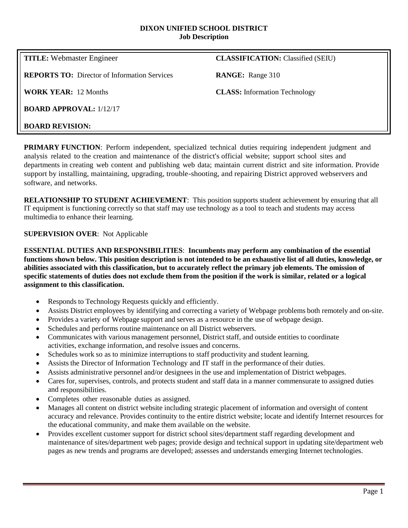#### **DIXON UNIFIED SCHOOL DISTRICT Job Description**

**TITLE:** Webmaster Engineer **CLASSIFICATION:** Classified (SEIU) **REPORTS TO:** Director of Information Services **RANGE:** Range 310 **WORK YEAR:** 12 Months **CLASS:** Information Technology **BOARD APPROVAL:** 1/12/17 **BOARD REVISION:**

**PRIMARY FUNCTION**: Perform independent, specialized technical duties requiring independent judgment and analysis related to the creation and maintenance of the district's official website; support school sites and departments in creating web content and publishing web data; maintain current district and site information. Provide support by installing, maintaining, upgrading, trouble-shooting, and repairing District approved webservers and software, and networks.

**RELATIONSHIP TO STUDENT ACHIEVEMENT**: This position supports student achievement by ensuring that all IT equipment is functioning correctly so that staff may use technology as a tool to teach and students may access multimedia to enhance their learning.

### **SUPERVISION OVER**: Not Applicable

**ESSENTIAL DUTIES AND RESPONSIBILITIES**: **Incumbents may perform any combination of the essential functions shown below. This position description is not intended to be an exhaustive list of all duties, knowledge, or abilities associated with this classification, but to accurately reflect the primary job elements. The omission of specific statements of duties does not exclude them from the position if the work is similar, related or a logical assignment to this classification.**

- Responds to Technology Requests quickly and efficiently.
- Assists District employees by identifying and correcting a variety of Webpage problems both remotely and on-site.
- Provides a variety of Webpage support and serves as a resource in the use of webpage design.
- Schedules and performs routine maintenance on all District webservers.
- Communicates with various management personnel, District staff, and outside entities to coordinate activities, exchange information, and resolve issues and concerns.
- Schedules work so as to minimize interruptions to staff productivity and student learning.
- Assists the Director of Information Technology and IT staff in the performance of their duties.
- Assists administrative personnel and/or designees in the use and implementation of District webpages.
- Cares for, supervises, controls, and protects student and staff data in a manner commensurate to assigned duties and responsibilities.
- Completes other reasonable duties as assigned.
- Manages all content on district website including strategic placement of information and oversight of content accuracy and relevance. Provides continuity to the entire district website; locate and identify Internet resources for the educational community, and make them available on the website.
- Provides excellent customer support for district school sites/department staff regarding development and maintenance of sites/department web pages; provide design and technical support in updating site/department web pages as new trends and programs are developed; assesses and understands emerging Internet technologies.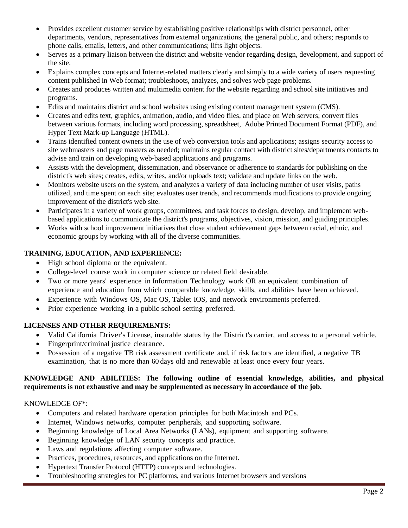- Provides excellent customer service by establishing positive relationships with district personnel, other departments, vendors, representatives from external organizations, the general public, and others; responds to phone calls, emails, letters, and other communications; lifts light objects.
- Serves as a primary liaison between the district and website vendor regarding design, development, and support of the site.
- Explains complex concepts and Internet-related matters clearly and simply to a wide variety of users requesting content published in Web format; troubleshoots, analyzes, and solves web page problems.
- Creates and produces written and multimedia content for the website regarding and school site initiatives and programs.
- Edits and maintains district and school websites using existing content management system (CMS).
- Creates and edits text, graphics, animation, audio, and video files, and place on Web servers; convert files between various formats, including word processing, spreadsheet, Adobe Printed Document Format (PDF), and Hyper Text Mark-up Language (HTML).
- Trains identified content owners in the use of web conversion tools and applications; assigns security access to site webmasters and page masters as needed; maintains regular contact with district sites/departments contacts to advise and train on developing web-based applications and programs.
- Assists with the development, dissemination, and observance or adherence to standards for publishing on the district's web sites; creates, edits, writes, and/or uploads text; validate and update links on the web.
- Monitors website users on the system, and analyzes a variety of data including number of user visits, paths utilized, and time spent on each site; evaluates user trends, and recommends modifications to provide ongoing improvement of the district's web site.
- Participates in a variety of work groups, committees, and task forces to design, develop, and implement webbased applications to communicate the district's programs, objectives, vision, mission, and guiding principles.
- Works with school improvement initiatives that close student achievement gaps between racial, ethnic, and economic groups by working with all of the diverse communities.

# **TRAINING, EDUCATION, AND EXPERIENCE:**

- High school diploma or the equivalent.
- College-level course work in computer science or related field desirable.
- Two or more years' experience in Information Technology work OR an equivalent combination of experience and education from which comparable knowledge, skills, and abilities have been achieved.
- Experience with Windows OS, Mac OS, Tablet IOS, and network environments preferred.
- Prior experience working in a public school setting preferred.

## **LICENSES AND OTHER REQUIREMENTS:**

- Valid California Driver's License, insurable status by the District's carrier, and access to a personal vehicle.
- Fingerprint/criminal justice clearance.
- Possession of a negative TB risk assessment certificate and, if risk factors are identified, a negative TB examination, that is no more than 60 days old and renewable at least once every four years.

### **KNOWLEDGE AND ABILITIES: The following outline of essential knowledge, abilities, and physical requirements is not exhaustive and may be supplemented as necessary in accordance of the job.**

## KNOWLEDGE OF\*:

- Computers and related hardware operation principles for both Macintosh and PCs.
- Internet, Windows networks, computer peripherals, and supporting software.
- Beginning knowledge of Local Area Networks (LANs), equipment and supporting software.
- Beginning knowledge of LAN security concepts and practice.
- Laws and regulations affecting computer software.
- Practices, procedures, resources, and applications on the Internet.
- Hypertext Transfer Protocol (HTTP) concepts and technologies.
- Troubleshooting strategies for PC platforms, and various Internet browsers and versions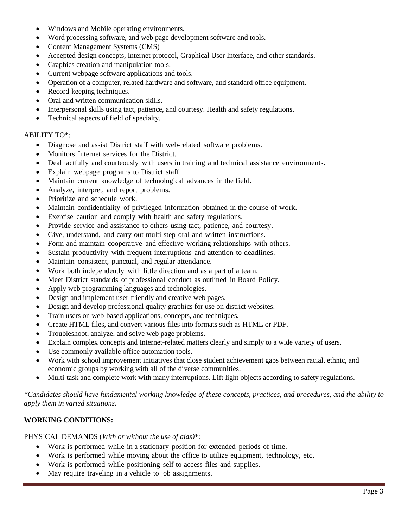- Windows and Mobile operating environments.
- Word processing software, and web page development software and tools.
- Content Management Systems (CMS)
- Accepted design concepts, Internet protocol, Graphical User Interface, and other standards.
- Graphics creation and manipulation tools.
- Current webpage software applications and tools.
- Operation of a computer, related hardware and software, and standard office equipment.
- Record-keeping techniques.
- Oral and written communication skills.
- Interpersonal skills using tact, patience, and courtesy. Health and safety regulations.
- Technical aspects of field of specialty.

#### ABILITY TO\*:

- Diagnose and assist District staff with web-related software problems.
- Monitors Internet services for the District.
- Deal tactfully and courteously with users in training and technical assistance environments.
- Explain webpage programs to District staff.
- Maintain current knowledge of technological advances in the field.
- Analyze, interpret, and report problems.
- Prioritize and schedule work.
- Maintain confidentiality of privileged information obtained in the course of work.
- Exercise caution and comply with health and safety regulations.
- Provide service and assistance to others using tact, patience, and courtesy.
- Give, understand, and carry out multi-step oral and written instructions.
- Form and maintain cooperative and effective working relationships with others.
- Sustain productivity with frequent interruptions and attention to deadlines.
- Maintain consistent, punctual, and regular attendance.
- Work both independently with little direction and as a part of a team.
- Meet District standards of professional conduct as outlined in Board Policy.
- Apply web programming languages and technologies.
- Design and implement user-friendly and creative web pages.
- Design and develop professional quality graphics for use on district websites.
- Train users on web-based applications, concepts, and techniques.
- Create HTML files, and convert various files into formats such as HTML or PDF.
- Troubleshoot, analyze, and solve web page problems.
- Explain complex concepts and Internet-related matters clearly and simply to a wide variety of users.
- Use commonly available office automation tools.
- Work with school improvement initiatives that close student achievement gaps between racial, ethnic, and economic groups by working with all of the diverse communities.
- Multi-task and complete work with many interruptions. Lift light objects according to safety regulations.

*\*Candidates should have fundamental working knowledge of these concepts, practices, and procedures, and the ability to apply them in varied situations.*

## **WORKING CONDITIONS:**

PHYSICAL DEMANDS (*With or without the use of aids)*\*:

- Work is performed while in a stationary position for extended periods of time.
- Work is performed while moving about the office to utilize equipment, technology, etc.
- Work is performed while positioning self to access files and supplies.
- May require traveling in a vehicle to job assignments.